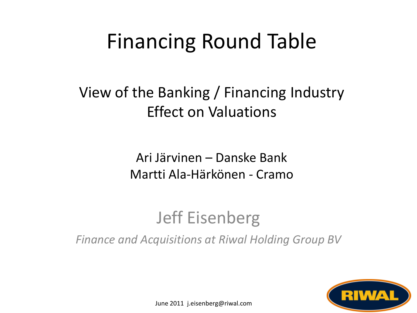## Financing Round Table

#### View of the Banking / Financing Industry Effect on Valuations

Ari Järvinen – Danske Bank Martti Ala-Härkönen - Cramo

#### Jeff Eisenberg

*Finance and Acquisitions at Riwal Holding Group BV*



June 2011 j.eisenberg@riwal.com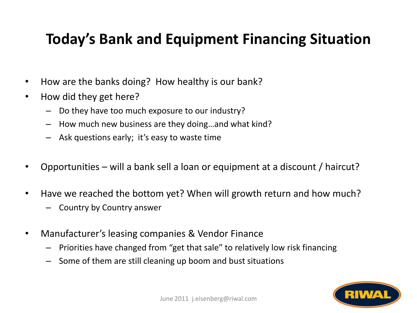#### **Today's Bank and Equipment Financing Situation**

- How are the banks doing? How healthy is our bank?
- How did they get here?
	- Do they have too much exposure to our industry?
	- How much new business are they doing…and what kind?
	- Ask questions early; it's easy to waste time
- Opportunities will a bank sell a loan or equipment at a discount / haircut?
- Have we reached the bottom yet? When will growth return and how much?
	- Country by Country answer
- Manufacturer's leasing companies & Vendor Finance
	- Priorities have changed from "get that sale" to relatively low risk financing
	- Some of them are still cleaning up boom and bust situations

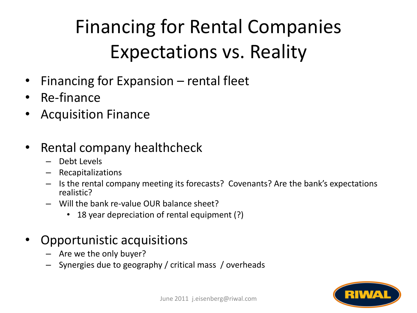## Financing for Rental Companies Expectations vs. Reality

- Financing for Expansion rental fleet
- Re-finance
- Acquisition Finance
- Rental company healthcheck
	- Debt Levels
	- Recapitalizations
	- Is the rental company meeting its forecasts? Covenants? Are the bank's expectations realistic?
	- Will the bank re-value OUR balance sheet?
		- 18 year depreciation of rental equipment (?)
- Opportunistic acquisitions
	- Are we the only buyer?
	- Synergies due to geography / critical mass / overheads

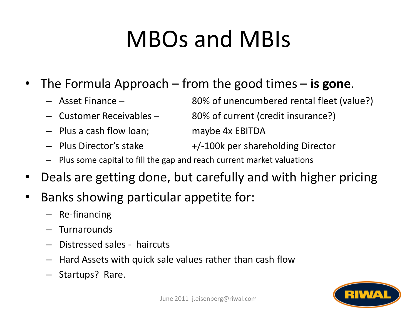# MBOs and MBIs

- The Formula Approach from the good times **is gone**.
	-
	-
	- Plus a cash flow loan; maybe 4x EBITDA
	-

– Asset Finance – 80% of unencumbered rental fleet (value?)

– Customer Receivables – 80% of current (credit insurance?)

- Plus Director's stake +/-100k per shareholding Director
- Plus some capital to fill the gap and reach current market valuations
- Deals are getting done, but carefully and with higher pricing
- Banks showing particular appetite for:
	- Re-financing
	- Turnarounds
	- Distressed sales haircuts
	- Hard Assets with quick sale values rather than cash flow
	- Startups? Rare.

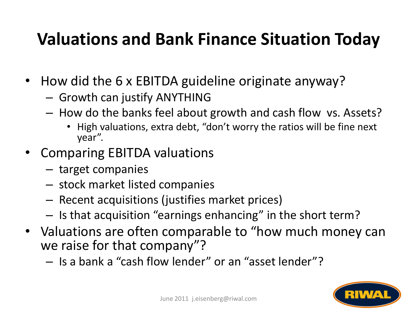### **Valuations and Bank Finance Situation Today**

- How did the 6 x EBITDA guideline originate anyway?
	- Growth can justify ANYTHING
	- How do the banks feel about growth and cash flow vs. Assets?
		- High valuations, extra debt, "don't worry the ratios will be fine next year".
- Comparing EBITDA valuations
	- target companies
	- stock market listed companies
	- Recent acquisitions (justifies market prices)
	- Is that acquisition "earnings enhancing" in the short term?
- Valuations are often comparable to "how much money can we raise for that company"?
	- Is a bank a "cash flow lender" or an "asset lender"?